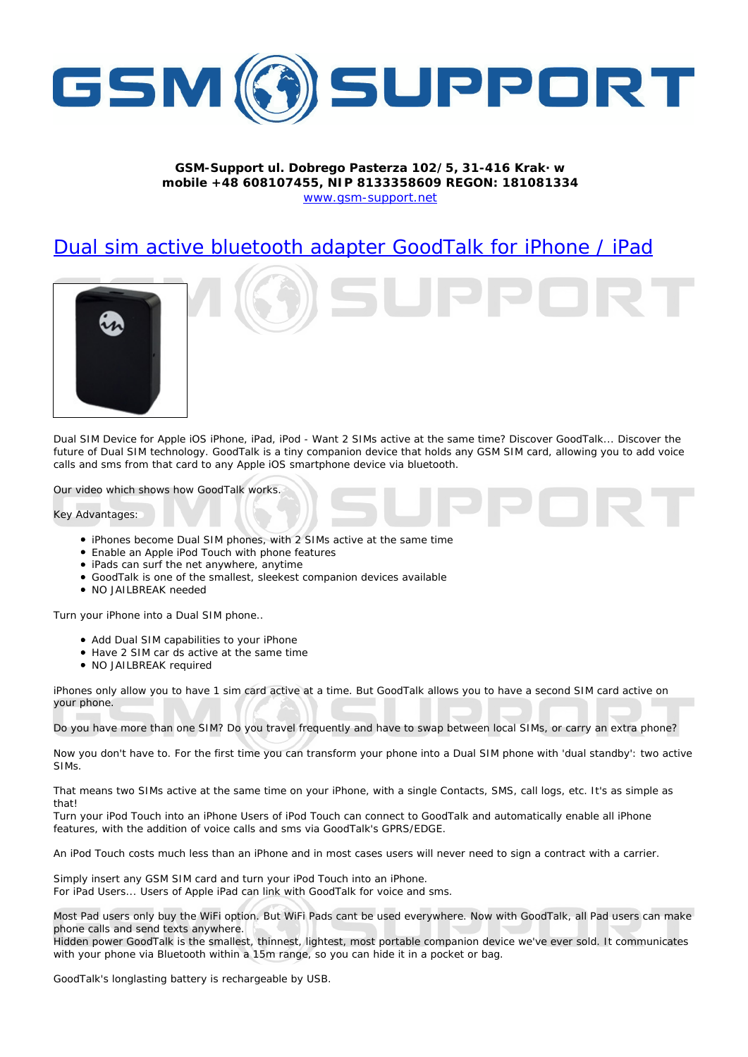

## ; GA!Gi ddcfhi `"`8cVfY[c'DUghYfnU'%\$&#) ž' %!(%\* ?fU\_OE **a** cV]`Y`Ž(, `\*\$, %\$+()) žB=D`, %'''), \*\$- F9; CB. %, %\$, %' ( kkk "[ga ! gi ddcfh"bYh

## 8i U`ala JUWili YiV`i Yhcch\ UXUdhYfi: ccXHU` ZcfiD\cbYi#IDUX



8i U`G=A `8Yj ]WY`Zcf`5dd`Y`]CG`]D\cbYž`]DUXž`]DcX !`KUbh&G=A g`UWh]jY`Uhh\Y`gUaY`h]aY3`8]gWtjYf`; ccXHU`\_"""`8]gWtjYf`h\Y If It The Dual Sim technology. Governors a time of Dual Sim technology. Good Talk is a time to the Good Talk is a time to the UXX of DUAK is a time to a time to a time to a time to a time to a time to a time to a time to a W g UbX ga g Zfca h Uh WUfX hc Ubm 5dd Y CG ga Ufhd \cbY XYj [W ] U V i Yhcch "

CifilXYck\TWN g\ck g\ck : ccXHU`k cf g'

? Ym 5Xj UbhU[ Yg.

- ID\cbYq VYW:a Y 8i U G=A d\cbYqžk Ih\ & G=A q UWhil Y Uh h\Y qUa Y hla Y
- . 9bUV'Y'Ub'5dd'Y']DcX'Hci Wik]h\'d\cbY'ZYUhifYg
- · JDUXg WUb gi fZh\Y bYh Ubmk \YfYž Ubmh]a Y
- ; ccXHU`\_']q'cbY'cZh\Y'qa U``Yqhž'q`YY\_Yqh'Wa dUb]cb XYj ]WYq'Uj U]`UV`Y
- $\bullet$  BC  $\geq$ 5=@6F95? bYYXYX

 $H$ i fh $m$ i f $D\ch Y$   $I$ h $m$ : U $B$ i U $G = A$   $d\ch Y$ "

- $\bullet$  5XX 8 i U G=A WUdUV] hily g hc mci f D\cbY
- $\bullet$  < Uj Y & G=A WUf Xg UWh]j Y Uh h Y gUa Y h]a Y
- $\bullet$  BC  $>5=6$ F95? fYei JfYX

jD\cbYg\cb`mU``ck inci hc\UjY`%g]a WUfX`UWijY`UhU`h]a Y"`6i h; ccXHU`\_U``ck g`mci hc\UjY`U`gYWcbX`G=A WUfX`UWijY`cb  $m$ i fd\cbY"

Bo mor "NUj Y'a ofY'h Ub obY'G=A 3'8c'mor 'hfUj Y''ZfYei YbhmUbX'NUj Y'ho'gk Ud VYhk YYb "cWU"G=A gž'of WUffmUb 'Yi hfU'dNobY3

Bck 'mei 'Xebffh'\UjY'he" : ef h\Y'Zjfgh'h]a Y'mei 'WUb'hfUbgZefa 'mei f'd\ebY']bhe'U'8iU'G=A 'd\ebY'k]h\'fXiU'ghUbXVmfi'hke'UWhjjY  $G = A g''$ 

H\Uha YUbgʻhk c G=A gʻUWhji YʻUhh\YʻgUa Yʻhja Yʻcbʻmci fʻ]D\cbYžʻk ]h\'Uʻg]b[`Yʻ7cbhUWgž'GA GžʻWU```c[gžʻYhW'=hfqjʻUgʻg]a d`YʻUg h\ Uh'

Hi fbimci filocXiHci WilbhciUbilD\cbYil gYfgicZilocXiHci WilWbiWbbYWhhci; ccXHU'\_'UbXiUi hca UhlWU'`mYbUV'Y'U`'`]D\cbY ZYUH fYgžk Jh\ h\Y UXXJh]cb cZj cJW WU`g UbX ga g j JU ; ccXHU`\_fg ; DFG#98; 9"

5b ]DcX Hci W. Wegng a i W. "Ygg h\Ub Ub ]D\cbY UbX ]b a cgh WgYg i gYfg k ]` bYj Yf bYYX hc g][ b U WebhfUWK ]h\ U WUff]Yf"

G]a d`m]bgYfhUbm; GA G=A WUfXUbXhi fb mci f ]DcXHci W ]bhcUb ]D\cbY" : cf ]DUX I gYfg""" I gYfg cZ 5dd Y ]DUX WUb "]b\_k ]h\; ccXHU \_ Zcf | c]WY UbX ga g"

A cgh DUX i gYfg cb m Vi m h Y K ]: ] cdhcb" 6i h K ]: ] DUXg WUbh VY i gYX Yj Yfnk \YfY" Bck k ]h\ ; ccXHU \_ ž U "DUX i gYfg WUb a U\_Y d\cbY 'WU'g'UbX gYbX hYI hg Ubmk \YfY" < JXXYb dck Yf ; ccXHU \_ jg h\Y ga U`Yghž h\]bbYghž `][ \hYghž a cgh dcfhJV Y W:a dUb]cb XYj ]WY k Yfji Y Yj Yf gc X" =h W:a a i b IWUhYq

k ]h\ mcifd\cbY j]U 6 i Yhcch\ k ]h\]b U %) a fUb[Yžgc mci WUb \]XY ]h ]b U dcV\_Yh cf VU["

; ccXHU`\_fq'`cb[`Uqh|b[ VUhhYfm]q fYWW Uf[ YUV`Y'Vml G6"